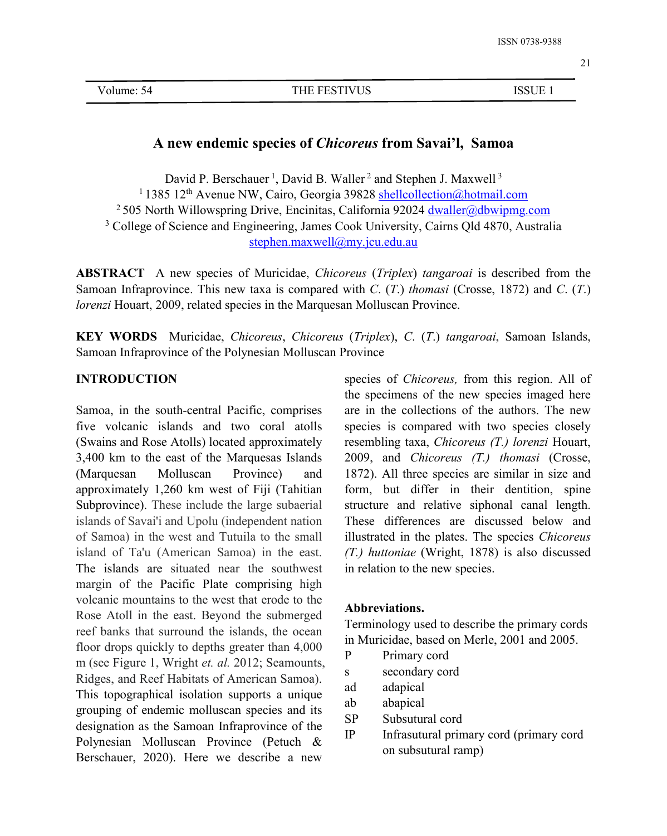# **A new endemic species of***Chicoreus* **from Savai'l, Samoa**

David P. Berschauer<sup>1</sup>, David B. Waller<sup>2</sup> and Stephen J. Maxwell<sup>3</sup> <sup>1</sup> 1385 12<sup>th</sup> Avenue NW, Cairo, Georgia 39828 [shellcollection@hotmail.com](mailto:shellcollection@hotmail.com) <sup>2</sup> 505 North Willowspring Drive, Encinitas, California 92024 [dwaller@dbwipmg.com](mailto:dwaller@dbwipmg.com) <sup>3</sup> College of Science and Engineering, James Cook University, Cairns Qld 4870, Australia [stephen.maxwell@my.jcu.edu.au](mailto:stephen.maxwell@my.jcu.edu.au)

**ABSTRACT** A new species of Muricidae, *Chicoreus* (*Triplex*) *tangaroai* is described from the Samoan Infraprovince. This new taxa iscompared with *C*. (*T*.) *thomasi* (Crosse, 1872) and *C*. (*T*.) *lorenzi* Houart, 2009, related species in the Marquesan Molluscan Province.

**KEY WORDS** Muricidae, *Chicoreus*, *Chicoreus* (*Triplex*), *C*. (*T*.) *tangaroai*, Samoan Islands, Samoan Infraprovince of the Polynesian Molluscan Province

#### **INTRODUCTION**

Samoa, in the south-central Pacific, comprises five volcanic islands and two coral atolls (Swains and Rose Atolls) located approximately 3,400 km to the east of the Marquesas Islands approximately 1,260 km west of Fiji (Tahitian Subprovince). These include the large subaerial islands of Savai'i and Upolu (independent nation of Samoa) in the west and Tutuila to the small island of Ta'u (American Samoa) in the east. The islands are situated near the southwest margin of the [Pacific](https://en.wikipedia.org/wiki/Pacific_Plate) Plate comprising high volcanic mountains to the west that erode to the Rose Atoll in the east. Beyond the submerged reef banks that surround the islands, the ocean floor drops quickly to depths greater than  $4,000$ m (see Figure 1, Wright *et. al.* 2012; Seamounts, Ridges, and Reef Habitats of American Samoa). This topographical isolation supports a unique and about the state of the state of the state of the state of the state of the state of the state of the state of the state of the state of the state of the state of the state grouping of endemic molluscan species and its<br>SP designation as the Samoan Infraprovince of the  $\frac{5r}{10}$ Polynesian Molluscan Province (Petuch & Berschauer, 2020). Here we describe a new

(Marquesan Molluscan Province) and 1872). All three species are similar in size and species of *Chicoreus,* from this region. All of the specimens of the new species imaged here are in the collections of the authors. The new species is compared with two species closely resembling taxa, *Chicoreus (T.) lorenzi* Houart, 2009, and *Chicoreus (T.) thomasi* (Crosse, form, but differ in their dentition, spine structure and relative siphonal canal length. These differences are discussed below and illustrated in the plates. The species *Chicoreus (T.) huttoniae* (Wright, 1878) is also discussed in relation to the new species.

## **Abbreviations.**

Terminology used to describe the primary cords in Muricidae, based on Merle, 2001 and 2005.

- Primary cord
- secondary cord
- ad adapical
- ab abapical
- Subsutural cord
- Infrasutural primary cord (primary cord on subsutural ramp)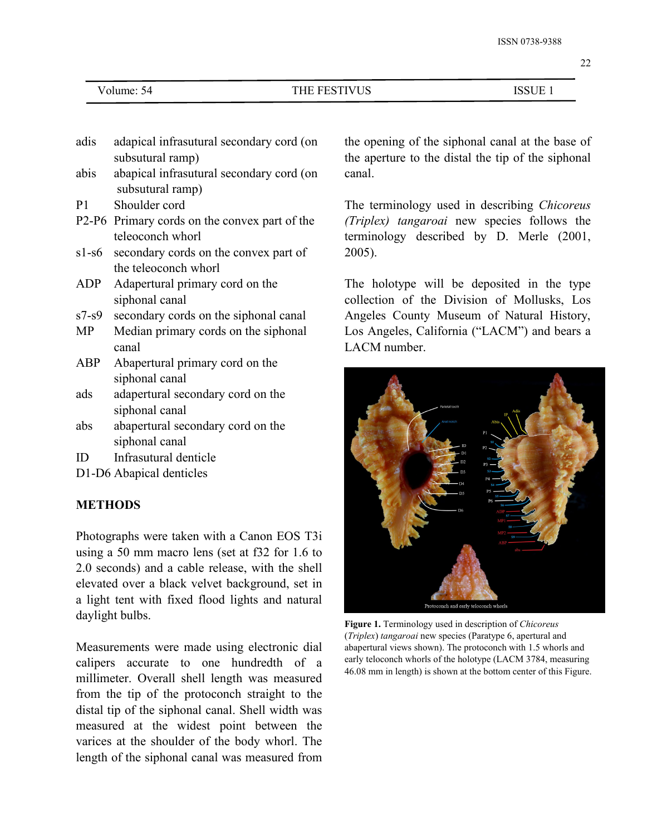| Volume: 54 |  |
|------------|--|
|------------|--|

- adis adapical infrasutural secondary cord (on subsutural ramp)
- abis abapical infrasutural secondary cord (on subsutural ramp)
- P1 Shoulder cord
- P2-P6 Primary cords on the convex part of the teleoconch whorl
- s1-s6 secondary cords on the convex part of the teleoconch whorl
- ADP Adapertural primary cord on the siphonal canal
- s7-s9 secondary cords on the siphonal canal
- MP Median primary cords on the siphonal canal
- ABP Abapertural primary cord on the siphonal canal
- ads adapertural secondary cord on the siphonal canal
- abs abapertural secondary cord on the siphonal canal
- ID Infrasutural denticle
- D1-D6 Abapical denticles

## **METHODS**

Photographs were taken with a Canon EOS T3i using a 50 mm macro lens (set at f32 for 1.6 to 2.0 seconds) and a cable release, with the shell elevated over a black velvet background, set in a light tent with fixed flood lights and natural daylight bulbs.

Measurements were made using electronic dial calipers accurate to one hundredth of a millimeter. Overall shell length was measured from the tip of the protoconch straight to the distal tip of the siphonal canal. Shell width was measured at the widest point between the varices at the shoulder of the body whorl. The length of the siphonal canal was measured from the opening of the siphonal canal at the base of the aperture to the distal the tip of the siphonal canal.

The terminology used in describing *Chicoreus (Triplex) tangaroai* new species follows the terminology described by D. Merle (2001, 2005).

The holotype will be deposited in the type collection of the Division of Mollusks, Los Angeles County Museum of Natural History, Los Angeles, California ("LACM") and bears a LACM number.



**Figure 1.** Terminology used in description of *Chicoreus* (*Triplex*) *tangaroai* new species (Paratype 6, apertural and abapertural views shown). The protoconch with 1.5 whorls and early teloconch whorls of the holotype (LACM 3784, measuring 46.08 mm in length) is shown at the bottom center of this Figure.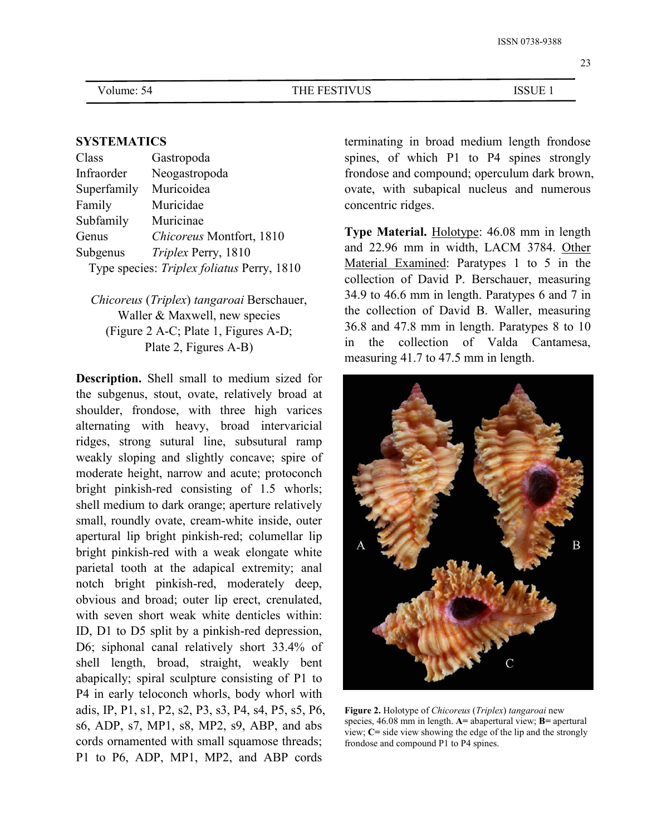#### **SYSTEMATICS**

| Class                                      | Gastropoda               | spines, of       |
|--------------------------------------------|--------------------------|------------------|
| Infraorder                                 | Neogastropoda            | frondose an      |
| Superfamily                                | Muricoidea               | ovate, with      |
| Family                                     | Muricidae                | concentric r     |
| Subfamily                                  | Muricinae                | <b>Type Mate</b> |
| Genus                                      | Chicoreus Montfort, 1810 |                  |
| Subgenus                                   | Triplex Perry, 1810      | and 22.96        |
| Type species: Triplex foliatus Perry, 1810 | Material E:              |                  |

*Chicoreus* (*Triplex*) *tangaroai* Berschauer, Waller & Maxwell, new species (Figure 2 A-C; Plate 1, Figures A-D;  $^{36}$ <br> $R_{\text{1.5}}$ Plate 2, Figures A-B)

**Description.** Shell small to medium sized for the subgenus, stout, ovate, relatively broad at shoulder, frondose, with three high varices alternating with heavy, broad intervaricial ridges, strong sutural line, subsutural ramp weakly sloping and slightly concave; spire of moderate height, narrow and acute; protoconch bright pinkish-red consisting of 1.5 whorls; shell medium to dark orange; aperture relatively small, roundly ovate, cream-white inside, outer apertural lip bright pinkish-red; columellar lip bright pinkish-red with a weak elongate white parietal tooth at the adapical extremity; anal notch bright pinkish-red, moderately deep, obvious and broad; outer lip erect, crenulated, with seven short weak white denticles within: ID, D1 to D5 split by a pinkish-red depression, D6; siphonal canal relatively short 33.4% of shell length, broad, straight, weakly bent abapically; spiral sculpture consisting of P1 to P4 in early teloconch whorls, body whorl with adis, IP, P1, s1, P2, s2, P3, s3, P4, s4, P5, s5, P6, s6, ADP, s7, MP1, s8, MP2, s9, ABP, and abs cords ornamented with small squamose threads; P1 to P6, ADP, MP1, MP2, and ABP cords

terminating in broad medium length frondose spines, of which P1 to P4 spines strongly frondose and compound; operculum dark brown, ovate, with subapical nucleus and numerous concentric ridges.

Type species: *Triplex foliatus* Perry,1810 Material Examined: Paratypes 1 to 5 in the **Type Material.** Holotype: 46.08 mm in length and 22.96 mm in width, LACM 3784. Other collection of David P. Berschauer, measuring 34.9 to 46.6 mm in length. Paratypes 6 and 7 in the collection of David B. Waller, measuring 36.8 and 47.8 mm in length. Paratypes 8 to 10 the collection of Valda Cantamesa, measuring 41.7 to 47.5 mm in length.



**Figure 2.** Holotype of *Chicoreus* (*Triplex*) *tangaroai* new species, 46.08 mm in length. **A=** abapertural view; **B=** apertural view; **C=** side view showing the edge of the lip and the strongly frondose and compound P1 to P4 spines.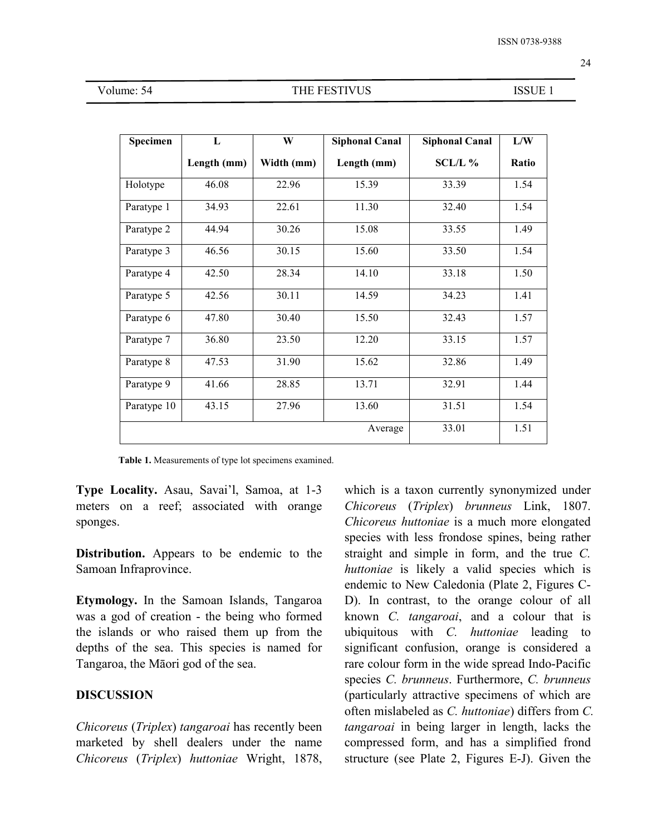| Volume: 54 |  |
|------------|--|
|------------|--|

#### THE FESTIVUS ISSUE 1

| Specimen    | $\mathbf{L}$ | W          | <b>Siphonal Canal</b> | <b>Siphonal Canal</b> | ${\bf L} /{\bf W}$ |
|-------------|--------------|------------|-----------------------|-----------------------|--------------------|
|             | Length (mm)  | Width (mm) | Length (mm)           | SCL/L %               | Ratio              |
| Holotype    | 46.08        | 22.96      | 15.39                 | 33.39                 | 1.54               |
| Paratype 1  | 34.93        | 22.61      | 11.30                 | 32.40                 | 1.54               |
| Paratype 2  | 44.94        | 30.26      | 15.08                 | 33.55                 | 1.49               |
| Paratype 3  | 46.56        | 30.15      | 15.60                 | 33.50                 | 1.54               |
| Paratype 4  | 42.50        | 28.34      | 14.10                 | 33.18                 | 1.50               |
| Paratype 5  | 42.56        | 30.11      | 14.59                 | 34.23                 | 1.41               |
| Paratype 6  | 47.80        | 30.40      | 15.50                 | 32.43                 | 1.57               |
| Paratype 7  | 36.80        | 23.50      | 12.20                 | 33.15                 | 1.57               |
| Paratype 8  | 47.53        | 31.90      | 15.62                 | 32.86                 | 1.49               |
| Paratype 9  | 41.66        | 28.85      | 13.71                 | 32.91                 | 1.44               |
| Paratype 10 | 43.15        | 27.96      | 13.60                 | 31.51                 | 1.54               |
|             |              |            | Average               | 33.01                 | 1.51               |

Table 1. Measurements of type lot specimens examined.

**Type Locality.** Asau, Savai'l, Samoa, at 1-3 meters on a reef; associated with orange sponges.

**Distribution.** Appears to be endemic to the Samoan Infraprovince.

**Etymology.** In the Samoan Islands, Tangaroa was a god of creation - the being who formed the islands or who raised them up from the depths of the sea. This species is named for Tangaroa, the Māori god of the sea.

### **DISCUSSION**

*Chicoreus* (*Triplex*) *tangaroai* has recently been marketed by shell dealers under the name *Chicoreus* (*Triplex*) *huttoniae* Wright, 1878, which is a taxon currently synonymized under *Chicoreus* (*Triplex*) *brunneus* Link, 1807. *Chicoreus huttoniae* is a much more elongated species with less frondose spines, being rather straight and simple in form, and the true *C. huttoniae* is likely a valid species which is endemic to New Caledonia (Plate 2, Figures C-D). In contrast, to the orange colour of all known *C. tangaroai*, and a colour that is ubiquitous with *C. huttoniae* leading to significant confusion, orange is considered a rare colour form in the wide spread Indo-Pacific species *C. brunneus*. Furthermore, *C. brunneus* (particularly attractive specimens of which are often mislabeled as *C. huttoniae*) differs from *C. tangaroai* in being larger in length, lacks the compressed form, and has a simplified frond structure (see Plate 2, Figures E-J). Given the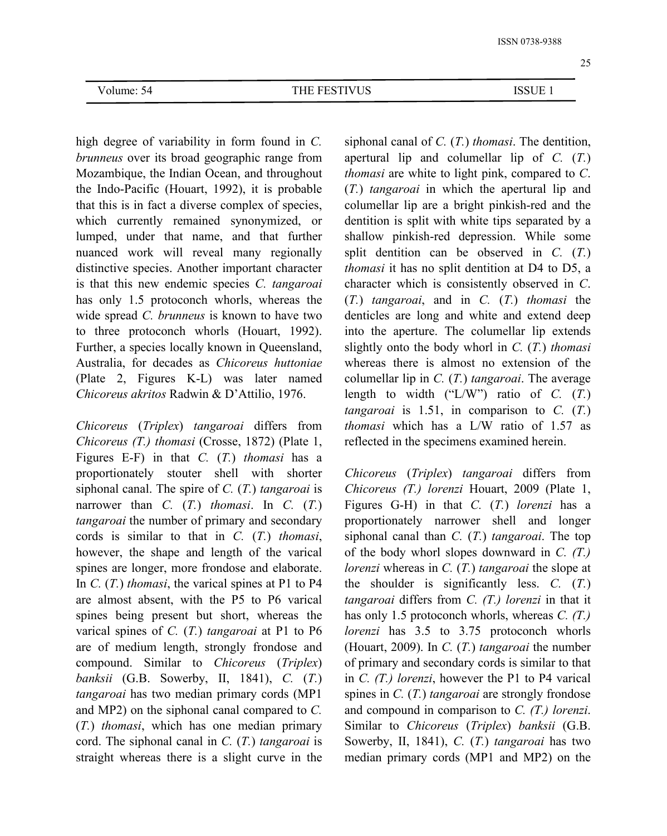high degree of variability in form found in *C. brunneus* over its broad geographic range from Mozambique, the Indian Ocean, and throughout the Indo-Pacific (Houart, 1992), it is probable that this is in fact a diverse complex of species, which currently remained synonymized, or lumped, under that name, and that further nuanced work will reveal many regionally distinctive species. Another important character is that this new endemic species *C. tangaroai* has only 1.5 protoconch whorls, whereas the wide spread *C. brunneus* is known to have two to three protoconch whorls (Houart, 1992). Further, a species locally known in Queensland, Australia, for decades as *Chicoreus huttoniae* (Plate 2, Figures K-L) was later named *Chicoreus akritos* Radwin & D'Attilio, 1976.

*Chicoreus* (*Triplex*) *tangaroai* differs from *Chicoreus (T.) thomasi* (Crosse, 1872) (Plate 1, Figures E-F) in that *C.* (*T.*) *thomasi* has a proportionately stouter shell with shorter siphonal canal. The spire of *C.* (*T.*) *tangaroai* is narrower than *C.* (*T.*) *thomasi*. In *C.* (*T.*) *tangaroai* the number of primary and secondary cords is similar to that in *C.* (*T.*) *thomasi*, however, the shape and length of the varical spines are longer, more frondose and elaborate. In *C.* (*T.*) *thomasi*, the varical spines at P1 to P4 are almost absent, with the P5 to P6 varical spines being present but short, whereas the varical spines of *C.* (*T.*) *tangaroai* at P1 to P6 are of medium length, strongly frondose and compound. Similar to *Chicoreus* (*Triplex*) *banksii* (G.B. Sowerby, II, 1841), *C.* (*T.*) *tangaroai* has two median primary cords (MP1 and MP2) on the siphonal canal compared to *C.* (*T.*) *thomasi*, which has one median primary cord. The siphonal canal in *C.* (*T.*) *tangaroai* is straight whereas there is a slight curve in the siphonal canal of *C.* (*T.*) *thomasi*. The dentition, apertural lip and columellar lip of *C.*(*T.*) *thomasi* are white to light pink, compared to *C*. (*T.*) *tangaroai* in which the apertural lip and columellar lip are a bright pinkish-red and the dentition is split with white tips separated by a shallow pinkish-red depression. While some split dentition can be observed in *C.* (*T.*) *thomasi* it has no split dentition at D4 to D5, a character which is consistently observed in *C*. (*T.*) *tangaroai*, and in *C.* (*T.*) *thomasi* the denticles are long and white and extend deep into the aperture. The columellar lip extends slightly onto the body whorl in *C.* (*T.*) *thomasi* whereas there is almost no extension of the columellar lip in *C.* (*T.*) *tangaroai*. The average length to width ("L/W") ratio of *C.* (*T.*) *tangaroai* is 1.51, in comparison to  $C$ .  $(T<sub>i</sub>)$ *thomasi* which has a L/W ratio of 1.57 as reflected in the specimens examined herein.

*Chicoreus* (*Triplex*) *tangaroai* differs from *Chicoreus (T.) lorenzi* Houart, 2009 (Plate 1, Figures G-H) in that *C.* (*T.*) *lorenzi* has a proportionately narrower shell and longer siphonal canal than *C.* (*T.*)*tangaroai*. The top of the body whorl slopes downward in *C. (T.) lorenzi* whereas in *C.* (*T.*) *tangaroai* the slope at the shoulder is significantly less. *C.* (*T.*) *tangaroai* differs from *C. (T.) lorenzi* in that it has only 1.5 protoconch whorls, whereas *C. (T.) lorenzi* has 3.5 to 3.75 protoconch whorls (Houart, 2009). In *C.* (*T.*) *tangaroai* the number of primary and secondary cords is similar to that in *C. (T.) lorenzi*, however the P1 to P4 varical spines in *C.* (*T.*) *tangaroai* are strongly frondose and compound in comparison to *C. (T.) lorenzi*. Similar to *Chicoreus* (*Triplex*) *banksii* (G.B. Sowerby, II, 1841), *C.* (*T.*) *tangaroai* has two median primary cords (MP1 and MP2) on the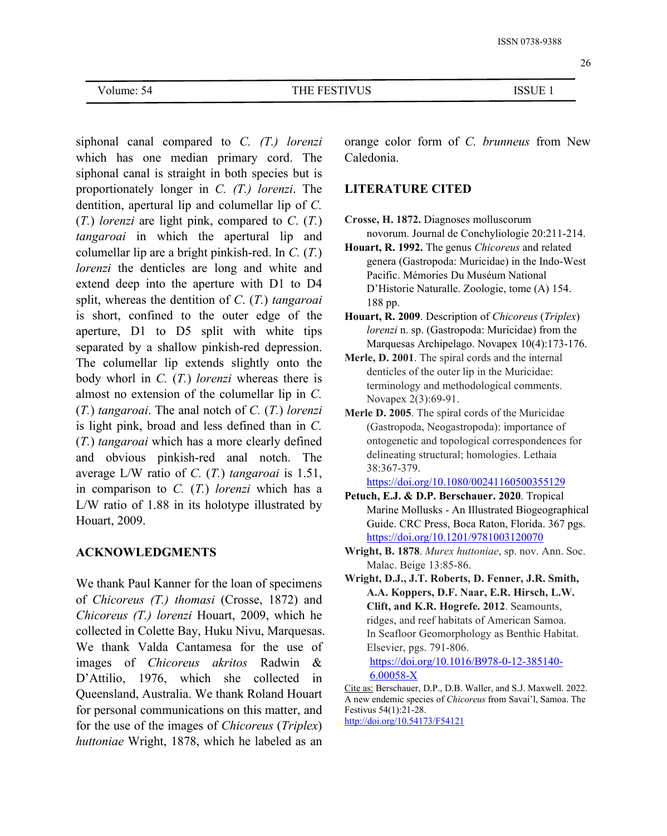26

siphonal canal compared to *C. (T.) lorenzi* which has one median primary cord. The siphonal canal is straight in both species but is proportionately longer in *C. (T.) lorenzi*. The dentition, apertural lip and columellar lip of *C.* (*T.*) *lorenzi* are light pink, compared to *C*. (*T.*) *tangaroai* in which the apertural lip and columellar lip are a bright pinkish-red. In *C.* (*T.*) *lorenzi* the denticles are long and white and extend deep into the aperture with D1 to D4 split, whereas the dentition of *C*. (*T.*) *tangaroai* is short, confined to the outer edge of the aperture, D1 to D5 split with white tips separated by a shallow pinkish-red depression. The columellar lip extends slightly onto the body whorl in *C.* (*T.*)*lorenzi* whereas there is almost no extension of the columellar lip in *C.* (*T.*) *tangaroai*. The anal notch of *C.* (*T.*) *lorenzi* is light pink, broad and less defined than in  $C$ . (*T.*) *tangaroai* which has a more clearly defined and obvious pinkish-red anal notch. The average L/W ratio of *C.* (*T.*) *tangaroai* is 1.51, in comparison to *C.* (*T.*) *lorenzi* which has a L/W ratio of 1.88 in its holotype illustrated by Houart, 2009.

## **ACKNOWLEDGMENTS**

We thank Paul Kanner for the loan of specimens of *Chicoreus (T.) thomasi* (Crosse, 1872) and *Chicoreus (T.) lorenzi* Houart, 2009, which he collected in Colette Bay, Huku Nivu, Marquesas. We thank Valda Cantamesa for the use of images of *Chicoreus akritos* Radwin & D'Attilio, 1976, which she collected in Queensland, Australia. We thank Roland Houart for personal communications on this matter, and for the use of the images of*Chicoreus* (*Triplex*) *huttoniae* Wright, 1878, which he labeled as an

orange color form of *C. brunneus* from New Caledonia.

## **LITERATURE CITED**

- **Crosse, H. 1872.** Diagnoses molluscorum novorum. Journal de Conchyliologie 20:211-214.
- **Houart, R. 1992.** The genus *Chicoreus* and related genera (Gastropoda: Muricidae) in the Indo-West Pacific. Mémories Du Muséum National D'Historie Naturalle. Zoologie, tome (A) 154.
- **Houart, R. 2009**. Description of *Chicoreus* (*Triplex*) *lorenzi* n. sp. (Gastropoda: Muricidae) from the Marquesas Archipelago. Novapex 10(4):173-176.
- **Merle, D. 2001**. The spiral cords and the internal denticles of the outer lip in the Muricidae: terminology and methodological comments. Novapex 2(3):69-91.
- **Merle D. 2005**. The spiral cords of the Muricidae (Gastropoda, Neogastropoda): importance of ontogenetic and topological correspondences for delineating structural; homologies. Lethaia 38:367-379.

<https://doi.org/10.1080/00241160500355129>

- **Petuch, E.J. & D.P. Berschauer. 2020**. Tropical Marine Mollusks - An Illustrated Biogeographical Guide. CRC Press, Boca Raton, Florida. 367 pgs. <https://doi.org/10.1201/9781003120070>
- **Wright, B. 1878**. *Murex huttoniae*, sp. nov. Ann. Soc. Malac. Beige 13:85-86.
- **Wright, D.J., J.T. Roberts, D. Fenner, J.R. Smith, A.A. Koppers, D.F. Naar, E.R. Hirsch, L.W. Clift, and K.R. Hogrefe. 2012**. Seamounts, ridges, and reef habitats of American Samoa. In Seafloor Geomorphology as Benthic Habitat. Elsevier, pgs. 791-806. [https://doi.org/10.1016/B978-0-12-385140-](https://doi.org/10.1016/B978-0-12-385140-6.00058-X) 6.00058-X

Cite as: Berschauer, D.P., D.B. Waller, and S.J. Maxwell. 2022. A new endemic species of*Chicoreus* from Savai'l, Samoa. The Festivus 54(1):21-28. <http://doi.org/10.54173/F54121>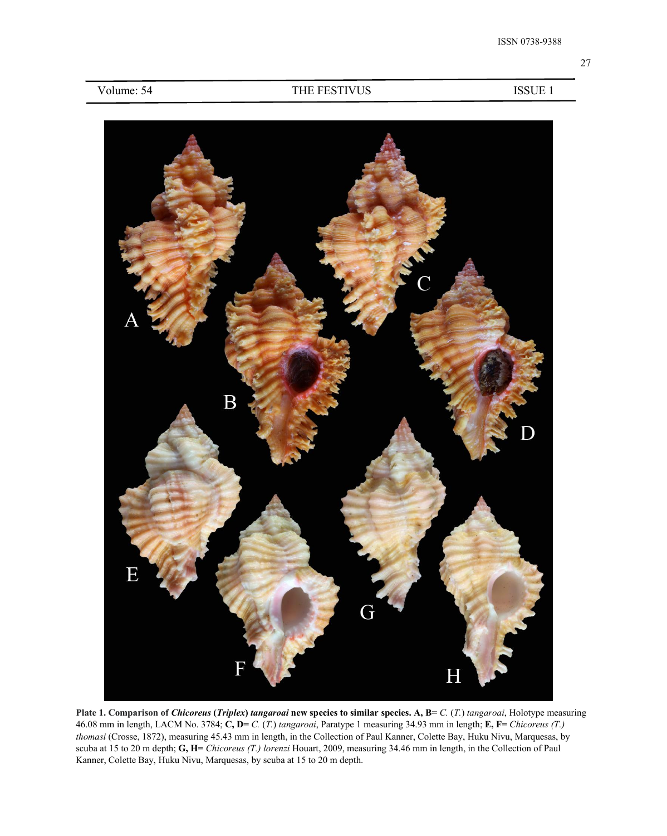

Plate 1. Comparison of Chicoreus (Triplex) tangaroai new species to similar species. A, B= C. (T.) tangaroai, Holotype measuring 46.08 mm in length, LACM No. 3784; **C, D=** *C.* (*T.*) *tangaroai*, Paratype 1 measuring 34.93 mm in length; **E, F=** *Chicoreus (T.) thomasi* (Crosse, 1872), measuring 45.43 mm in length, in the Collection of Paul Kanner, Colette Bay, Huku Nivu, Marquesas, by scuba at 15 to 20 m depth; **G, H=** *Chicoreus (T.) lorenzi* Houart, 2009, measuring 34.46 mm in length, in the Collection of Paul Kanner, Colette Bay, Huku Nivu, Marquesas, by scuba at 15 to 20 m depth.